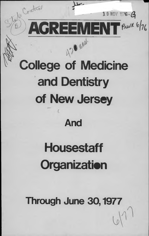

**Through June 30,1977**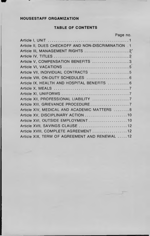# **HOUSESTAFF ORGANIZATION**

# **TABLE OF CONTENTS**

|                                                     | Page no. |
|-----------------------------------------------------|----------|
|                                                     |          |
| Article II, DUES CHECKOFF AND NON-DISCRIMINATION .1 |          |
| Article III, MANAGEMENT RIGHTS 2                    |          |
|                                                     |          |
| Article V, COMPENSATION BENEFITS 3                  |          |
|                                                     |          |
| Article VII, INDIVIDUAL CONTRACTS 5                 |          |
| Article VIII, ON-DUTY SCHEDULES  6                  |          |
| Article IX, HEALTH AND HOSPITAL BENEFITS  6         |          |
|                                                     |          |
|                                                     |          |
|                                                     |          |
|                                                     |          |
| Article XIV, MEDICAL AND ACADEMIC MATTERS 8         |          |
| Article XV, DISCIPLINARY ACTION  10                 |          |
| Article XVI, OUTSIDE EMPLOYMENT 10                  |          |
| Article XVII, SAVINGS CLAUSE  12                    |          |
| Article XVIII, COMPLETE AGREEMENT  12               |          |
| Article XIX, TERM OF AGREEMENT AND RENEWAL 12       |          |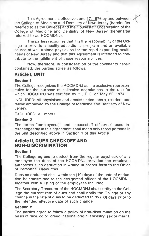This Agreement is effective June 17, 1976 by and between the College of Medicine and Dentistry of New Jersey (hereinafter referred to as the College) and the Housestaff Organization of the College of Medicine and Dentistry of New Jersey (hereinafter referred to as HOCMDNJ).

The parties recognize that it is the responsibility of the College to provide a quality educational program and an available source of well trained physicians for the rapid expanding health needs of New Jersey and that this Agreement is intended to contribute to the fulfillment of those responsibilities.

Now, therefore, in consideration of the covenants herein contained, the parties agree as follows:

## **Article I, UNIT**

#### **Section 1**

The College recognizes the HOCMDNJ as the exclusive representative for the purpose of collective negotiations in the unit for which HOCMDNJ was certified by P.E.R.C. on May 22, 1974.

INCLUDED: All physicians and dentists titled intern, resident and fellow employed by the College of Medicine and Dentistry of New Jersey.

EXCLUDED: All others.

#### **Section 2**

The terms "employee(s)" and "housestaff officer(s)" used interchangeably in this agreement shall mean only those persons in the unit described above in Section 1 of this Article.

## **Article II, DUES CHECKOFF AND NON-DISCRIMINATION**

#### **Section 1**

The College agrees to deduct from the regular paycheck of any employee the dues of the HOCMDNJ provided the employee authorizes such deduction in writing in proper form to the Office of Personnel Resources.

Dues so deducted shall within ten (10) days of the date of deduction be transmitted to the designated officer of the HOCMDNJ, together with a listing of the employees included.

The Secretary-Treasurer of the HOCMDNJ shall certify to the College the current rate of dues and shall notify the College of any change in the rate of dues to be deducted thirty (30) days prior to the intended effective date of such change.

#### **Section 2**

The parties agree to follow a policy of non-discrimination on the basis of race, color, creed, national origin, ancestry, sex or marital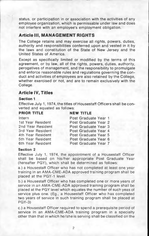status, or participation in or association with the activities of any employee organization, which is permissable under law and does not interfere with an employee's employment obligation.

## **Article III, MANAGEMENT RIGHTS**

The College retains and may exercise all rights, powers, duties, authority and responsibilities conferred upon and vested in it by the laws and constitution of the State of New Jersey and the United States of America.

Except as specifically limited or modified by the terms of this agreement, or by law, all of the rights, powers, duties, authority, perogatives of management, and the responsibility to promulgate and enforce reasonable rules and regulations governing the conduct and activities of employees are also retained by the College, whether exercised or not, and are to remain exclusively with the College.

## **Article IV, Titles**

#### **Section 1**

Effective July 1, 1974, the titles of Housestaff Officers shall be con verted and equated as follows:

#### **PRIOR TITLE**

### **NEW TITLE**

| Intern            | Post Graduate Year 1 |
|-------------------|----------------------|
| 1st Year Resident | Post Graduate Year 2 |
| 2nd Year Resident | Post Graduate Year 3 |
| 3rd Year Resident | Post Graduate Year 4 |
| 4th Year Resident | Post Graduate Year 5 |
| 5th Year Resident | Post Graduate Year 6 |
| 6th Year Resident | Post Graduate Year 7 |

#### **Section 2**

Effective July 1, 1974, the appointment of a Housestaff Officer shall be based on his/her appropriate Post Graduate Year (hereafter PGY), which shall be determined as follows:

a.) a Housestaff Officer who has not completed at least one year training in an AMA-CME-ADA approved training program shall be placed at the PGY-1 level.

b.) a Housestaff Officer who has completed one or more years of service in an AMA-CME-ADA approved training program shall be placed at the PGY level which equates the number of such yeas of service plus one. (Eg., a Housestaff Officer who has completed two years of service in such training program shall be placed at PGY-3)

c.) a Housestaff Officer required to spend a prerequisite period of service in an AMA-CME-ADA training program in a specialty other than that in which he/she is serving shall be classified on the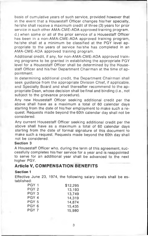basis of cumulative years of such service, provided however that in the event that a Housestaff Officer changes his/her specialty, he/she shall receive a maximum credit of three (3) years for prior service in such other AMA-CME-ADA approved training program, d.) when some or all of the prior service of a Housestaff Officer has been in a non-AMA-CME-ADA approved training program, he/she shall at a minimum be classified at the PGY level appropriate to the years of service he/she has completed in an AMA-CME-ADA approved training program.

Additional credit, if any, for non-AMA-CME-ADA approved training programs to be granted in establishing the appropriate PGY level for a Housestaff Officer shall be determined by the Housestaff Officer and his/her Department Chairman at the time of appointment.

In determining additional credit, the Department Chairman shall seek guidance from the appropriate Division Chief, if applicable, and Specialty Board and shall thereafter recommend to the appropriate Dean, whose decision shall be final and binding (i.e., not subject to the grievance procedure).

Any new Housestaff Officer seeking additional credit per the above shall have as a maximum a total of 60 calendar days starting from the date of his/her employment to make such a request. Requests made beyond the 60th calendar day shall not be considered.

Any current Housestaff Officer seeking additional credit per the above shall have as a maximum a total of 60 calendar days starting from the date of formal signature of this document to make such a request. Requests made beyond the 60th day shall not be considered.

### **Section 3**

A Housestaff Officer who, during the term of this agreement, successfully completes his/her service for a year and is reappointed to serve for an additional year shall be advanced to the next higher PGY.

## **Article V, COMPENSATION BENEFITS**

#### **Section 1**

Effective June 23, 1974, the following salary levels shall be established:

| PGY 1 | \$12,295 |
|-------|----------|
| PGY 2 | 13,193   |
| PGY 3 | 13.749   |
| PGY 4 | 14.319   |
| PGY 5 | 14,874   |
| PGY 6 | 15.435   |
| PGY 7 | 15.980   |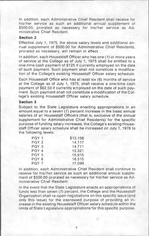In addition, each Administrative Chief Resident shall receive for his/her service as such an additional annual supplement of \$500.00, prorated as necessary for his/her service as Administrative Chief Resident.

#### **Section 2**

Effective July 1, 1975, the above salary levels and additional annual supplement of \$500.00 for Administrative Chief Residents, prorated as necessary, will remain in effect.

In addition, each Housestaff Officer who has one (1) or more years of service at the College as of July 1, 1975 shall be entitled to a one-time cash payment of \$125 if currently employed on the date of such payment. Such payment shall not constitute a modification of the College's existing Housestaff Officer salary schedule.

Each Housestaff Office who has at least six (6) months of service at the College as of July 1, 1975, shall receive a one-time cash payment of \$62.50 if currently employed on the date of such payment. Such payment shall not constitute a modification of the College's existing Housestaff Officer salary schedule.

#### **Section 3**

Subject to the State Legislature enacting appropriations in an amount equal to a seven (7) percent increase in the basic annual salaries of all Housestaff Officers (that is, exclusive of the annual supplement for Administrative Chief Residents) for the specific purpose of funding salary increases, the College's existing Housestaff Officer salary schedule shall be increased on July 1, 1976 to the following levels:

| PGY 1            | \$13,156 |
|------------------|----------|
| PGY <sub>2</sub> | 14,117   |
| PGY 3            | 14.711   |
| PGY 4            | 15,321   |
| PGY 5            | 15.915   |
| PGY 6            | 16.515   |
| PGY 7            | 17.099   |

In addition, each Administrative Chief Resident shall continue to receive for his/her service as such an additional annual supplement of \$500.00 prorated as necessary for his/her service as Administrative Chief Resident.

In the event that the State Legislature enacts an appropriations of funds less than seven (7) percent, the College and the Housestaff Organization shall re-open negotiations on this specific issue (and only this issue) for the expressed purpose of providing an increase in the existing Housestaff Officer salary schedule within the limits of State Legislature appropriations for this specific purpose.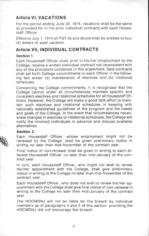# **Article VI, VACATIONS**

For the period ending June 30, 1974, vacations shall be the same as provided for in the prior individual contracts with each Housestaff Officer.

Effective July 1,1974 all PGY 2s and above shall be entitled to four (4) weeks of paid vacation.

# **Article VII, INDIVIDUAL CONTRACTS**

## **Section 1**

Each Housestaff Officer shall, prior to his/her employment by the College, receive a written individual contract not inconsistent with any of the provisions contained in this argeement. Said contracts shall set forth College commitments to each Officer in the following two areas: (a) maintenance of electives and (b) rotational schedules.

Concerning the College commitments, it is recognized that the College cannot under all circumstances maintain specific and consistent electives and rotational schedules for all Housestaff Officers. However, the College will make a good faith effort to maintain such electives and rotational schedules in keeping with nationally established guidelines of the program and the needs and goals of the College. In the event that circumstances necessitate changes in electives or rotational schedules, the College will notify the involved individuals in advance and discuss available alternatives.

### **Section 2**

Each Housestaff Officer, whose employment might not be renewed by the College, shall be given preliminary notice in writing no later than mid-November of the contract year.

Final notice of non-renewal shall be given in writing to each affected Housestaff Officer no later than mid-January of the contract year.

In turn, each Housestaff Officer, who might not wish to renew his/her appointment with the College, shall give preliminary notice in writing to the College no later than mid-November of the contract year.

Each Housestaff Officer, who does not wish to renew his/her appointment with the College shall give final notice of non-renewal in writing to the College no later then mid-January of the contract year.

The HOCMDNJ will not be liable for the breach by individual members as of paragraphs 4 and 5 of this section, providing the HOCMDNJ did not encourage the breach.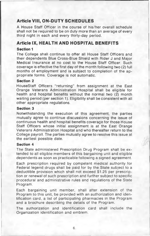# Article VIII, ON-DUTY SCHEDULES

A House Staff Officer in the course of his/her overall schedule shall not be required to be on duty more than an average of every third night in each and every thirty-day period.

## **Article IX, HEALTH AND HOSPITAL BENEFITS**

### **Section 1**

The College shall continue to offer all House Staff Officers and their dependents Blue Cross-Blue Shield with Rider J and Major Medical Insurance at no cost to the House Staff Officer. Such coverage is effective the first day of the month following two (2) full months of employment and is subject to completion of the appropriate forms. Coverage is not automatic.

### **Section 2**

HouseStaff Officers "returning" from assignment at the East Orange Veterans Administration Hospital shall be eligible for health and hospital benefits without the normal two (2) month waiting period (per section 1). Eligibility shall be consistent with all other appropriate regulations.

#### **Section 3**

Notwithstanding the execution of this agreement, the parties mutually agree to continue discussions concerning the issue of continuous health and hospital benefits coverage for those House Staff Officers whose initial assignment is at the East Orange Veterans Administration Hospital and who thereafter return to the College payroll. The parties mutually agree to resolve this issue at the earliest possible date.

### **Section 4**

The State administered Prescription Drug Program shall be extended to all eligible members of this bargaining unit and eligible dependents as soon as practicable following a signed agreement.

Each prescription required by competent medical authority for Federal legend drugs shall be paid for by the State subject to a deductible provision which shall not exceed \$1.25 per prescription or renewal of such prescription and further subject to specific procedural and administrative rules and regulations of the State Program.

Each bargaining unit member, shall after extension of the Program to this unit, be provided with an authorization and identification card, a list of participating pharmacies in the Program and a brochure describing the details of the Program.

The authorization and identification card shall include the Organization identification and emblem.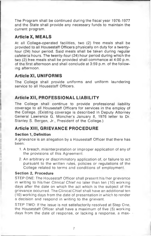The Program shall be continued during the fiscal year 1976-1977 and the State shall provide any necessary funds to maintain the current program.

## **Article X, MEALS**

At all College-operated facilities, two (2) free meals shall be provided to all Housestaff Officers physically on duty for a twentyfour (24) hour period. Said meals shall be taken during regular cafeteria hours. The twenty-four (24) hour period during which the two (2) free meals shall be provided shall commence at 4:00 p.m. of the first afternoon and shall conclude at 3:59 p.m. of the following afternoon.

# **Article XI, UNIFORMS**

The College shall provide uniforms and uniform laundering service to all Housestaff Officers.

# **Article XII, PROFESSIONAL LIABILITY**

The College shall continue to provide professional liability coverage to all Housestaff Officers for services in the employ of the College. (Existing coverage is described in Deputy Attorney General Lawrence G. Moncher's January 8, 1976 letter to Dr. Stanley S. Bergen, Jr., President of the College.)

## **Article XIII, GRIEVANCE PROCEDURE**

## **Section 1, Definition**

A grievance is an allegation by a Housestaff Officer that there has been:

- 1. A breach, misinterpretation or improper application of any of the provisions of this Agreement.
- 2. An arbitrary or discriminatory application of, or failure to act pursuant to the written rules, policies or regulations of the College related to terms and conditions of employment.

## **Section 2, Procedure**

STEP ONE: The Housestaff Officer shall present his/her grievance in writing to his/her *Clinical Chief* no later than ten (10) working days after the date on which the act which is the subject of the grievance occurred. The Clinical Chief shall have an additional ten (10) working days from the date of presentation in which to render a decision and respond in writing to the grievant.

STEP TWO: If the issue is not satisfactorily resolved at Step One, the Housestaff Officer shall have a maximum of five (5) working days from the date of response, or lacking a response, a max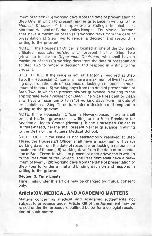imum of fifteen (15) working days from the date of presentation at Step One, in which to present his/her grievance in writing to the *Medical Director* of the appropriate College hospital, i.e., Martland Hospital or Raritan Valley Hospital. The Medical Director shall have a maximum of ten (10) working days from the date of presentation at Step Two to render a decision and respond in writing to the grievant.

NOTE: If the Housestaff Officer is located at one of the College's affiliated hospitals, he/she shall present his/her Step Two grievance to his/her *Department Chairman,* who shall have a maximum of ten (10) working days from the date of presentation at Step Two to render a decision and respond in writing to the grievant.

STEP THREE: If the issue is not satisfactorily resolved at Step Two, the Housestaff Officer shall have a maximum of five (5) working days from the date of response, or lacking a response, a maximum of fifteen (15) working days from the date of presentation at Step Two, in which to present his/her grievance in writing to the appropriate *Vice President* or *Dean.* The Vice President or Dean shall have a maximum of ten (10) working days from the date of presentation at Step Three to render a decision and respond in writing to the grievant.

NOTE: If the Housestaff Officer is Newark-based, he/she shall present his/her grievance in writing to the Vice President for Academic Health Center (Newark). If the Housestaff Officer is Rutgers-based, he/she shall present his/her grievance in writing to the Dean of the Rutgers Medical School.

STEP FOUR: If the issue is not satisfactorily resolved at Step Three, the Housestaff Officer shall have a maximum of five (5) working days from the date of response, or lacking a response, a maximum of fifteen (15) working days from the date of presentation at Step Three, in which to present his/her grievance in writing to the *President of the College.* The President shall have a maximum of twenty (20) working days from the date of presentation of Step Four to render a final and binding decision and respond in writing to the grievant.

#### **Section 3, Time Limits**

Time limits under this article may be changed by mutual consent only.

## **Article XIV, MEDICAL AND ACADEMIC MATTERS**

Matters concerning medical and academic judgements not subject to grievance under Article XIII of the Agreement may be raised under the procedure outlined below for a collegial resolution of such matter.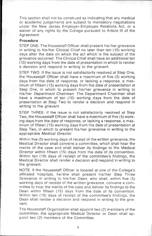This section shall not be construed as indicating that any medical or academic judgements are subject to mandatory negotiations under the New Jersey Employer-Employee Relations Act, or a waiver of any rights by the College pursuant to Article III of the Agreement.

### **Procedure**

STEP ONE: The Housestaff Officer shall present his/her grievance in writing to his/her Clinical Chief no later than ten (10) working days after the date on which the act which is the subject of the grievance occurred. The Clinical Chief shall have an additional ten (10) working days from the date of presentation in which to render a decision and respond in writing to the grievant.

STEP TWO: If the issue is not satisfactorily resolved at Step One, the Housestaff Officer shall have a maximum of five (5) working days from the date of response, or lacking a response, a maximum of fifteen (15) working days from the date of presentation at Step One, in which to present his/her grievance in writing to his/her *Department Chairman.* The Department Chairman shall have a maximum of ten (10) working days from the date of presentation at Step Two to render a decision and respond in writing to the grievant.

STEP THREE: If the issue is not satisfactorily resolved at Step Two, the Housestaff Officer shall have a maximum of five (5) working days from the date of response, or lacking a response, a maximum of fifteen (15) working days from the date of presentation at Step Two, in which to present his/her grievance in writing to the appropriate *Medical Director.*

Within five (5) working days of receipt of the written grievance, the Medical Director shall convene a committee, which shall hear the merits of the case and shall deliver its findings to the Medical Director within fifteen (15) days from the date of its convention. Within ten (10) days of receipt of the committee's findings, the Medical Director shall render a decision and respond in writing to the grievant.

NOTE: If the Housestaff Officer is located at one of the College's affiliated hospitals, he/she shall present his/her Step Three Grievance in writing to his/her *Dean,* who shall, within five (5) working days of receipt of the written grievance, convene a committee to hear the merits of the case and deliver its findings to the Dean within fifteen (15) days from the date of its convention. Within ten (10) days of receipt of the committee's findings, the Dean shall render a decision and respond in writing to the grievant.

The Housestaff Organization shall appoint two (2) members of the committee; the appropriate Medical Director or Dean shall appoint two (2) members of the Committee.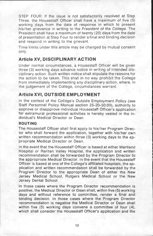STEP FOUR: If the issue is not satisfactorily resolved at Step Three, the Housestaff Officer shall have a maximum of five (5) working days from the date of response in which to present his/her grievance in writing to the *President of the College.* The President shall have a maximum of twenty (20) days from the date of presentation at Step Four to render a final and binding decision and respond in writing to the grievant.

Time limits under this article may be changed by mutual consent only.

# **Article XV, DISCIPLINARY ACTION**

Under normal circumstances, a Housestaff Officer will be given three (3) working days advance notice in writing of intended disciplinary action. Such written notice shall stipulate the reasons for the action to be taken. This shall in no way prohibit the College from immediately implementing any disciplinary action, where, in the judgement of the College, circumstances warrant.

# **Article XVI, OUTSIDE EMPLOYMENT**

In the context of the College's Outside Employment Policy (see Staff Personnel Policy Manual section 25-20-50:00), authority to approve or disapprove individual Housestaff Officer's application for extramural professional activities is hereby vested in the individual's Medical Director or Dean.

### **ROUTING**

The Housestaff Officer shall first apply to his/her Program Director who shall forward the application, together with his/her own written recommendation within three (3) working days to the appropriate Medical Director or Dean.

In the event that the Housestaff Officer is based at either Martland Hospital or Raritan Valley Hospital, the application and written recommendation shall be forwarded by the Program Director to the appropriate Medical Director. In the event that the Housestaff Officer is based at one of the College's affiliated hospitals, the application and written recommendation shall be forwarded by the Program Director to the appropriate Dean of either the New Jersey Medical School, Rutgers Medical School or the New Jersey Dental School.

In those cases where the Program Director recommendation is positive, the Medical Director or Dean shall, within five (5) working days and without reference to committee, render a final and binding decision. In those cases where the Program Director recommendation is negative the Medical Director or Dean shall within five (5) working days convene a committee of four (4), which shall consider the Housestaff Officer's application and the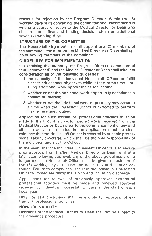reasons for rejection by the Program Director. Within five (5) working days of its convening, the committee shall recommend in writing a course of action to the Medical Director or Dean who shall render a final and binding decision within an additional seven (7) working days.

### **STRUCTURE OF THE COMMITTEE**

The HouseStaff Organization shall appoint two (2) members of the committee; the appropriate Medical Director or Dean shall appoint two (2) members of the committee.

### **GUIDELINES FOR IMPLEMENTATION**

In exercising this authority, the Program Director, committee of four (if convened) and the Medical Director or Dean shall take into consideration all of the following guidelines:

- 1. the capacity of the individual Housestaff Officer to fulfill his/her educational objectives while, at the same time, persuing additional work opportunities for income;
- 2. whether or not the additional work opportunity constitutes a conflict of interest;
- 3. whether or not the additional work opportunity may occur at a time when the Housestaff Officer is expected to perform his/her assigned duties.

Application for such extramural professional activities must be made to the Program Director and approval received from the Medical Director or Dean prior to the commencement of any and all such activities. Included in the application must be clear evidence that the Housestaff Officer is covered by suitable professional liability coverage, which shall be the sole responsibility of the individual and not the College.

In the event that the individual Housestaff Officer fails to secure prior approval from his/her Medical Director or Dean, or if at a later date following approval, any of the above guidelines are no longer met, the Housestaff Officer shall be given a maximum of five (5) working days to cease and desist any and all such activities. Failure to comply shall result in the individual Housestaff Officer's immediate discipline, up to and including discharge.

Applications for renewal of previously approved extramural professional activities must be made and renewed approval received by individual Housestaff Officers at the start of each fiscal year.

Only licensed physicians shall be eligible for approval of extramural professional activities.

### **NON-GRIEVABILITY**

Decisions of the Medical Director or Dean shall not be subject to the grievance procedure.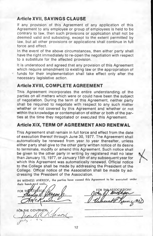## **Article XVII, SAVINGS CLAUSE**

If any provision of this Agreement of any application of this Agreement to any employee or group of employees is held to be contrary to law, then such provisions or application shall not be deemed valid and subsisting, except to the extent permitted by law, but all other provisions or applications shall continue in full force and effect.

In the event of the above circumstances, then either party shall have the right immediately to re-open the negotiation with respect to a substitute for the affected provision.

It is understood and agreed that any provision of this Agreement which require amendment to existing law or the appropriation of funds for their implementation shall take effect only after the necessary legislative action.

## **Article XVIII, COMPLETE AGREEMENT**

This Agreement incorporates the entire understanding of the parties on all matters which were or could have been the subject of negotiation. During the term of this Agreement, neither party shall be required to negotiate with respect to any such matter whether or not covered by this Agreement and whether or not within the knowledge or contemplation of either or both of the parties at the time they negotiated or executed this Agreement.

# **Article XIX, TERM OF AGREEMENT AND RENEWAL**

This Agreement shall remain in full force and effect from the date of execution thereof through June 30, 1977. The Agreement shall automatically be renewed from year to year thereafter, unless either party shall give to the other party written notice of its desire to terminate, modify or amend this Agreement. Such notice shall be given to the other party in writing by registered mail no later than January 15, 1977, or January 15th of any subsequent year for which this Agreement was automatically renewed. Official notice to the College shall be made by addressing the President of the College. Offical notice of the Association shall be made by addressing the President of the Association.

IN WITNESS NHEREOF, the parties have caused this Agreement to be executed under their hands jand seals.

FOR THE GOVERNOR:  $11.21$ C

OR THE ASSOCIATION Muy